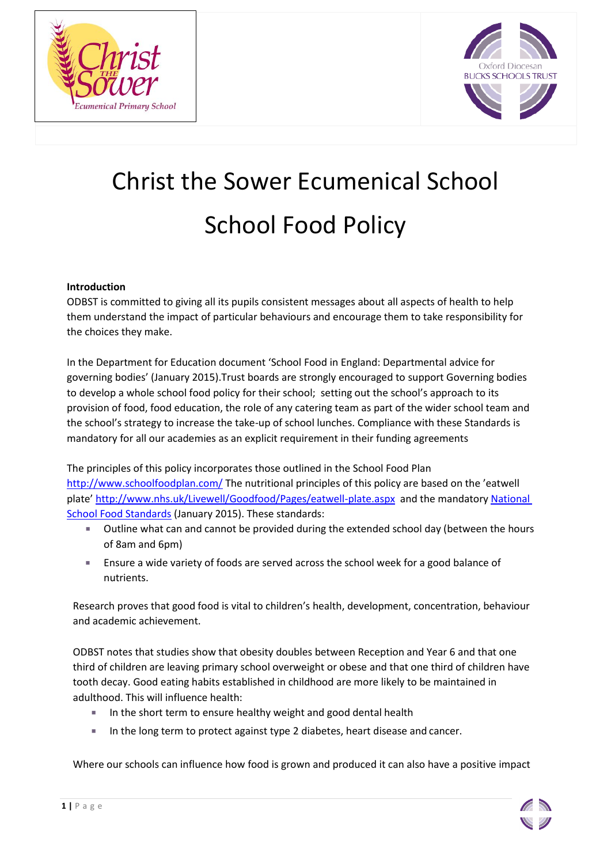



# Christ the Sower Ecumenical School School Food Policy

## **Introduction**

ODBST is committed to giving all its pupils consistent messages about all aspects of health to help them understand the impact of particular behaviours and encourage them to take responsibility for the choices they make.

In the Department for Education document 'School Food in England: Departmental advice for governing bodies' (January 2015).Trust boards are strongly encouraged to support Governing bodies to develop a whole school food policy for their school; setting out the school's approach to its provision of food, food education, the role of any catering team as part of the wider school team and the school's strategy to increase the take-up of school lunches. Compliance with these Standards is mandatory for all our academies as an explicit requirement in their funding agreements

The principles of this policy incorporates those outlined in the School Food Plan <http://www.schoolfoodplan.com/> The nutritional principles of this policy are based on the 'eatwell plate' <http://www.nhs.uk/Livewell/Goodfood/Pages/eatwell-plate.aspx>and the mandatory National [School Food Standards](https://www.gov.uk/government/publications/standards-for-school-food-in-england) (January 2015). These standards:

- Outline what can and cannot be provided during the extended school day (between the hours of 8am and 6pm)
- Ensure a wide variety of foods are served across the school week for a good balance of nutrients.

Research proves that good food is vital to children's health, development, concentration, behaviour and academic achievement.

ODBST notes that studies show that obesity doubles between Reception and Year 6 and that one third of children are leaving primary school overweight or obese and that one third of children have tooth decay. Good eating habits established in childhood are more likely to be maintained in adulthood. This will influence health:

- In the short term to ensure healthy weight and good dental health
- In the long term to protect against type 2 diabetes, heart disease and cancer.

Where our schools can influence how food is grown and produced it can also have a positive impact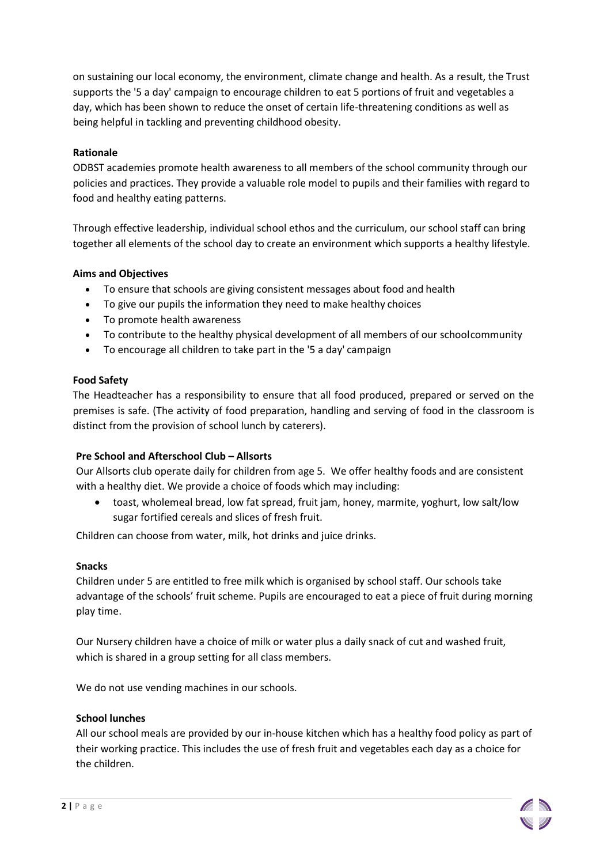on sustaining our local economy, the environment, climate change and health. As a result, the Trust supports the '5 a day' campaign to encourage children to eat 5 portions of fruit and vegetables a day, which has been shown to reduce the onset of certain life-threatening conditions as well as being helpful in tackling and preventing childhood obesity.

## **Rationale**

ODBST academies promote health awareness to all members of the school community through our policies and practices. They provide a valuable role model to pupils and their families with regard to food and healthy eating patterns.

Through effective leadership, individual school ethos and the curriculum, our school staff can bring together all elements of the school day to create an environment which supports a healthy lifestyle.

## **Aims and Objectives**

- To ensure that schools are giving consistent messages about food and health
- To give our pupils the information they need to make healthy choices
- To promote health awareness
- To contribute to the healthy physical development of all members of our schoolcommunity
- To encourage all children to take part in the '5 a day' campaign

## **Food Safety**

The Headteacher has a responsibility to ensure that all food produced, prepared or served on the premises is safe. (The activity of food preparation, handling and serving of food in the classroom is distinct from the provision of school lunch by caterers).

## **Pre School and Afterschool Club – Allsorts**

Our Allsorts club operate daily for children from age 5. We offer healthy foods and are consistent with a healthy diet. We provide a choice of foods which may including:

 toast, wholemeal bread, low fat spread, fruit jam, honey, marmite, yoghurt, low salt/low sugar fortified cereals and slices of fresh fruit.

Children can choose from water, milk, hot drinks and juice drinks.

## **Snacks**

Children under 5 are entitled to free milk which is organised by school staff. Our schools take advantage of the schools' fruit scheme. Pupils are encouraged to eat a piece of fruit during morning play time.

Our Nursery children have a choice of milk or water plus a daily snack of cut and washed fruit, which is shared in a group setting for all class members.

We do not use vending machines in our schools.

## **School lunches**

All our school meals are provided by our in-house kitchen which has a healthy food policy as part of their working practice. This includes the use of fresh fruit and vegetables each day as a choice for the children.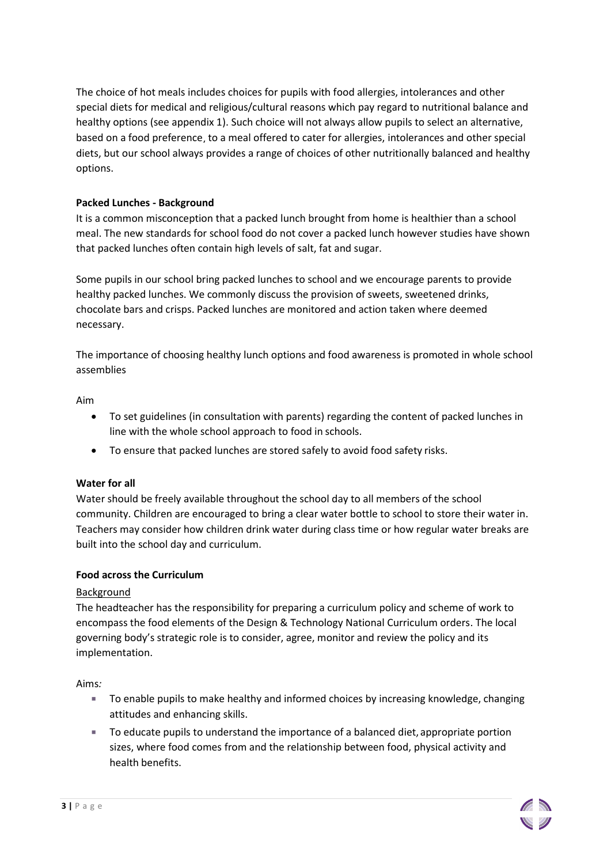The choice of hot meals includes choices for pupils with food allergies, intolerances and other special diets for medical and religious/cultural reasons which pay regard to nutritional balance and healthy options (see appendix 1). Such choice will not always allow pupils to select an alternative, based on a food preference, to a meal offered to cater for allergies, intolerances and other special diets, but our school always provides a range of choices of other nutritionally balanced and healthy options.

# **Packed Lunches - Background**

It is a common misconception that a packed lunch brought from home is healthier than a school meal. The new standards for school food do not cover a packed lunch however studies have shown that packed lunches often contain high levels of salt, fat and sugar.

Some pupils in our school bring packed lunches to school and we encourage parents to provide healthy packed lunches. We commonly discuss the provision of sweets, sweetened drinks, chocolate bars and crisps. Packed lunches are monitored and action taken where deemed necessary.

The importance of choosing healthy lunch options and food awareness is promoted in whole school assemblies

## Aim

- To set guidelines (in consultation with parents) regarding the content of packed lunches in line with the whole school approach to food in schools.
- To ensure that packed lunches are stored safely to avoid food safety risks.

## **Water for all**

Water should be freely available throughout the school day to all members of the school community. Children are encouraged to bring a clear water bottle to school to store their water in. Teachers may consider how children drink water during class time or how regular water breaks are built into the school day and curriculum.

## **Food across the Curriculum**

## Background

The headteacher has the responsibility for preparing a curriculum policy and scheme of work to encompass the food elements of the Design & Technology National Curriculum orders. The local governing body's strategic role is to consider, agree, monitor and review the policy and its implementation.

Aims*:*

- To enable pupils to make healthy and informed choices by increasing knowledge, changing attitudes and enhancing skills.
- To educate pupils to understand the importance of a balanced diet, appropriate portion sizes, where food comes from and the relationship between food, physical activity and health benefits.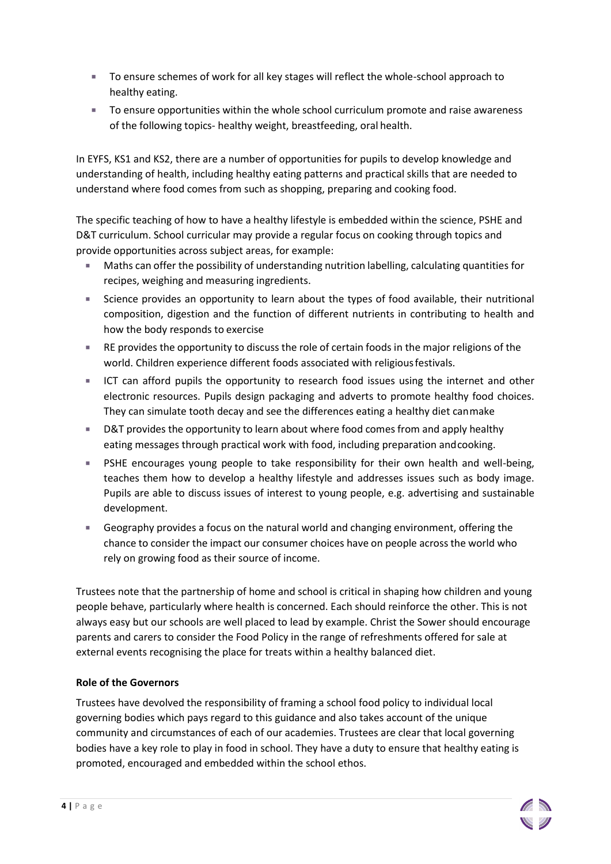- To ensure schemes of work for all key stages will reflect the whole-school approach to healthy eating.
- To ensure opportunities within the whole school curriculum promote and raise awareness of the following topics- healthy weight, breastfeeding, oral health.

In EYFS, KS1 and KS2, there are a number of opportunities for pupils to develop knowledge and understanding of health, including healthy eating patterns and practical skills that are needed to understand where food comes from such as shopping, preparing and cooking food.

The specific teaching of how to have a healthy lifestyle is embedded within the science, PSHE and D&T curriculum. School curricular may provide a regular focus on cooking through topics and provide opportunities across subject areas, for example:

- Maths can offer the possibility of understanding nutrition labelling, calculating quantities for recipes, weighing and measuring ingredients.
- Science provides an opportunity to learn about the types of food available, their nutritional composition, digestion and the function of different nutrients in contributing to health and how the body responds to exercise
- **RE provides the opportunity to discuss the role of certain foods in the major religions of the** world. Children experience different foods associated with religiousfestivals.
- ICT can afford pupils the opportunity to research food issues using the internet and other electronic resources. Pupils design packaging and adverts to promote healthy food choices. They can simulate tooth decay and see the differences eating a healthy diet canmake
- **D&T** provides the opportunity to learn about where food comes from and apply healthy eating messages through practical work with food, including preparation andcooking.
- PSHE encourages young people to take responsibility for their own health and well-being, teaches them how to develop a healthy lifestyle and addresses issues such as body image. Pupils are able to discuss issues of interest to young people, e.g. advertising and sustainable development.
- Geography provides a focus on the natural world and changing environment, offering the chance to consider the impact our consumer choices have on people across the world who rely on growing food as their source of income.

Trustees note that the partnership of home and school is critical in shaping how children and young people behave, particularly where health is concerned. Each should reinforce the other. This is not always easy but our schools are well placed to lead by example. Christ the Sower should encourage parents and carers to consider the Food Policy in the range of refreshments offered for sale at external events recognising the place for treats within a healthy balanced diet.

# **Role of the Governors**

Trustees have devolved the responsibility of framing a school food policy to individual local governing bodies which pays regard to this guidance and also takes account of the unique community and circumstances of each of our academies. Trustees are clear that local governing bodies have a key role to play in food in school. They have a duty to ensure that healthy eating is promoted, encouraged and embedded within the school ethos.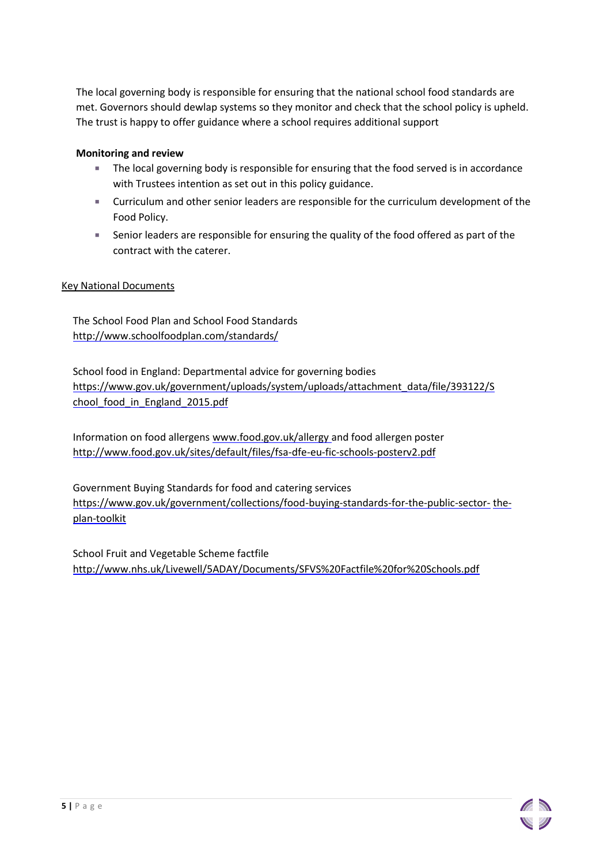The local governing body is responsible for ensuring that the national school food standards are met. Governors should dewlap systems so they monitor and check that the school policy is upheld. The trust is happy to offer guidance where a school requires additional support

#### **Monitoring and review**

- **The local governing body is responsible for ensuring that the food served is in accordance** with Trustees intention as set out in this policy guidance.
- Curriculum and other senior leaders are responsible for the curriculum development of the Food Policy.
- Senior leaders are responsible for ensuring the quality of the food offered as part of the contract with the caterer.

#### Key National Documents

The School Food Plan and School Food Standards <http://www.schoolfoodplan.com/standards/>

School food in England: Departmental advice for governing bodies [https://www.gov.uk/government/uploads/system/uploads/attachment\\_data/file/393122/S](https://www.gov.uk/government/uploads/system/uploads/attachment_data/file/393122/School_food_in_England_2015.pdf) [chool\\_food\\_in\\_England\\_2015.pdf](https://www.gov.uk/government/uploads/system/uploads/attachment_data/file/393122/School_food_in_England_2015.pdf)

Information on food allergens [www.food.gov.uk/allergy](http://www.food.gov.uk/allergy) and food allergen poster <http://www.food.gov.uk/sites/default/files/fsa-dfe-eu-fic-schools-posterv2.pdf>

Government Buying Standards for food and catering services [https://www.gov.uk/government/collections/food-buying-standards-for-the-public-sector-](https://www.gov.uk/government/collections/food-buying-standards-for-the-public-sector-the-plan-toolkit) [the](https://www.gov.uk/government/collections/food-buying-standards-for-the-public-sector-the-plan-toolkit)[plan-toolkit](https://www.gov.uk/government/collections/food-buying-standards-for-the-public-sector-the-plan-toolkit)

School Fruit and Vegetable Scheme factfile <http://www.nhs.uk/Livewell/5ADAY/Documents/SFVS%20Factfile%20for%20Schools.pdf>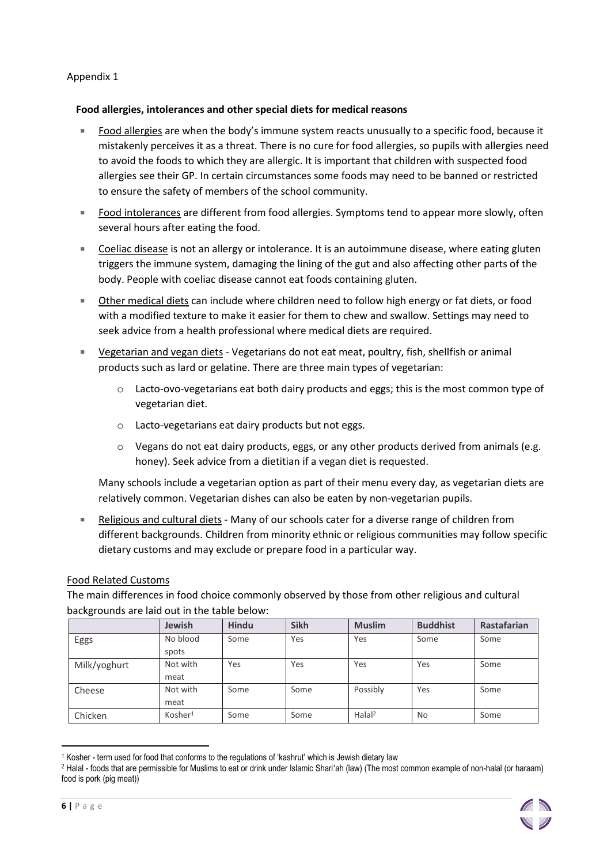# Appendix 1

## **Food allergies, intolerances and other special diets for medical reasons**

- Food allergies are when the body's immune system reacts unusually to a specific food, because it mistakenly perceives it as a threat. There is no cure for food allergies, so pupils with allergies need to avoid the foods to which they are allergic. It is important that children with suspected food allergies see their GP. In certain circumstances some foods may need to be banned or restricted to ensure the safety of members of the school community.
- Food intolerances are different from food allergies. Symptoms tend to appear more slowly, often several hours after eating the food.
- Coeliac disease is not an allergy or intolerance. It is an autoimmune disease, where eating gluten triggers the immune system, damaging the lining of the gut and also affecting other parts of the body. People with coeliac disease cannot eat foods containing gluten.
- Other medical diets can include where children need to follow high energy or fat diets, or food with a modified texture to make it easier for them to chew and swallow. Settings may need to seek advice from a health professional where medical diets are required.
- Vegetarian and vegan diets Vegetarians do not eat meat, poultry, fish, shellfish or animal products such as lard or gelatine. There are three main types of vegetarian:
	- $\circ$  Lacto-ovo-vegetarians eat both dairy products and eggs; this is the most common type of vegetarian diet.
	- o Lacto-vegetarians eat dairy products but not eggs.
	- $\circ$  Vegans do not eat dairy products, eggs, or any other products derived from animals (e.g. honey). Seek advice from a dietitian if a vegan diet is requested.

Many schools include a vegetarian option as part of their menu every day, as vegetarian diets are relatively common. Vegetarian dishes can also be eaten by non-vegetarian pupils.

 Religious and cultural diets - Many of our schools cater for a diverse range of children from different backgrounds. Children from minority ethnic or religious communities may follow specific dietary customs and may exclude or prepare food in a particular way.

## Food Related Customs

The main differences in food choice commonly observed by those from other religious and cultural backgrounds are laid out in the table below:

|              | <b>Jewish</b>       | <b>Hindu</b> | <b>Sikh</b> | <b>Muslim</b>         | <b>Buddhist</b> | Rastafarian |
|--------------|---------------------|--------------|-------------|-----------------------|-----------------|-------------|
| Eggs         | No blood            | Some         | Yes         | Yes                   | Some            | Some        |
|              | spots               |              |             |                       |                 |             |
| Milk/yoghurt | Not with            | Yes          | Yes         | Yes                   | Yes             | Some        |
|              | meat                |              |             |                       |                 |             |
| Cheese       | Not with            | Some         | Some        | Possibly              | Yes             | Some        |
|              | meat                |              |             |                       |                 |             |
| Chicken      | Kosher <sup>1</sup> | Some         | Some        | $H$ alal <sup>2</sup> | No              | Some        |

<sup>1</sup> Kosher - term used for food that conforms to the regulations of 'kashrut' which is Jewish dietary law

l

<sup>2</sup> Halal - foods that are permissible for Muslims to eat or drink under Islamic Shariʻah (law) (The most common example of non-halal (or haraam) food is pork (pig meat))